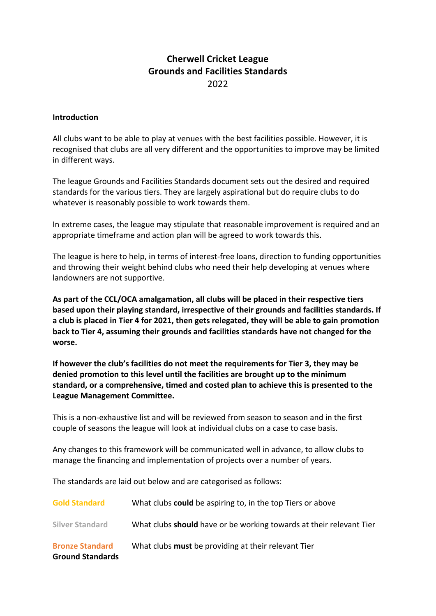## **Cherwell Cricket League Grounds and Facilities Standards** 2022

## **Introduction**

All clubs want to be able to play at venues with the best facilities possible. However, it is recognised that clubs are all very different and the opportunities to improve may be limited in different ways.

The league Grounds and Facilities Standards document sets out the desired and required standards for the various tiers. They are largely aspirational but do require clubs to do whatever is reasonably possible to work towards them.

In extreme cases, the league may stipulate that reasonable improvement is required and an appropriate timeframe and action plan will be agreed to work towards this.

The league is here to help, in terms of interest-free loans, direction to funding opportunities and throwing their weight behind clubs who need their help developing at venues where landowners are not supportive.

**As part of the CCL/OCA amalgamation, all clubs will be placed in their respective tiers based upon their playing standard, irrespective of their grounds and facilities standards. If a club is placed in Tier 4 for 2021, then gets relegated, they will be able to gain promotion back to Tier 4, assuming their grounds and facilities standards have not changed for the worse.**

**If however the club's facilities do not meet the requirements for Tier 3, they may be denied promotion to this level until the facilities are brought up to the minimum standard, or a comprehensive, timed and costed plan to achieve this is presented to the League Management Committee.**

This is a non-exhaustive list and will be reviewed from season to season and in the first couple of seasons the league will look at individual clubs on a case to case basis.

Any changes to this framework will be communicated well in advance, to allow clubs to manage the financing and implementation of projects over a number of years.

The standards are laid out below and are categorised as follows:

| <b>Bronze Standard</b><br><b>Ground Standards</b> | What clubs must be providing at their relevant Tier                 |
|---------------------------------------------------|---------------------------------------------------------------------|
| <b>Silver Standard</b>                            | What clubs should have or be working towards at their relevant Tier |
| <b>Gold Standard</b>                              | What clubs <b>could</b> be aspiring to, in the top Tiers or above   |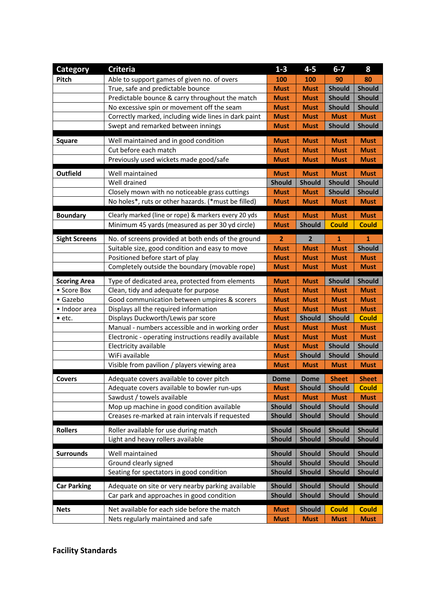| <b>Category</b>      | <b>Criteria</b>                                       | $1 - 3$                    | $4 - 5$                      | $6-7$         | 8             |
|----------------------|-------------------------------------------------------|----------------------------|------------------------------|---------------|---------------|
| <b>Pitch</b>         | Able to support games of given no. of overs           | 100                        | 100                          | 90            | 80            |
|                      | True, safe and predictable bounce                     | <b>Must</b>                | <b>Must</b>                  | <b>Should</b> | <b>Should</b> |
|                      | Predictable bounce & carry throughout the match       | <b>Must</b>                | <b>Must</b>                  | <b>Should</b> | <b>Should</b> |
|                      | No excessive spin or movement off the seam            | <b>Must</b>                | <b>Must</b>                  | <b>Should</b> | <b>Should</b> |
|                      | Correctly marked, including wide lines in dark paint  | <b>Must</b>                | <b>Must</b>                  | <b>Must</b>   | <b>Must</b>   |
|                      | Swept and remarked between innings                    | <b>Must</b>                | <b>Must</b>                  | <b>Should</b> | <b>Should</b> |
|                      | Well maintained and in good condition                 | <b>Must</b>                | <b>Must</b>                  | <b>Must</b>   | <b>Must</b>   |
| <b>Square</b>        | Cut before each match                                 | <b>Must</b>                | <b>Must</b>                  | <b>Must</b>   | <b>Must</b>   |
|                      | Previously used wickets made good/safe                | <b>Must</b>                | <b>Must</b>                  | <b>Must</b>   | <b>Must</b>   |
|                      |                                                       |                            |                              |               |               |
| <b>Outfield</b>      | Well maintained                                       | <b>Must</b>                | <b>Must</b>                  | <b>Must</b>   | <b>Must</b>   |
|                      | Well drained                                          | <b>Should</b>              | <b>Should</b>                | <b>Should</b> | <b>Should</b> |
|                      | Closely mown with no noticeable grass cuttings        | <b>Must</b>                | <b>Must</b>                  | <b>Should</b> | <b>Should</b> |
|                      | No holes*, ruts or other hazards. (*must be filled)   | <b>Must</b>                | <b>Must</b>                  | <b>Must</b>   | <b>Must</b>   |
| <b>Boundary</b>      | Clearly marked (line or rope) & markers every 20 yds  | <b>Must</b>                | <b>Must</b>                  | <b>Must</b>   | <b>Must</b>   |
|                      | Minimum 45 yards (measured as per 30 yd circle)       | <b>Must</b>                | <b>Should</b>                | <b>Could</b>  | <b>Could</b>  |
| <b>Sight Screens</b> | No. of screens provided at both ends of the ground    | $\overline{2}$             | $\overline{\mathbf{2}}$      | $\mathbf{1}$  | 1             |
|                      | Suitable size, good condition and easy to move        | <b>Must</b>                | <b>Must</b>                  | <b>Must</b>   | <b>Should</b> |
|                      | Positioned before start of play                       | <b>Must</b>                | <b>Must</b>                  | <b>Must</b>   | <b>Must</b>   |
|                      | Completely outside the boundary (movable rope)        | <b>Must</b>                | <b>Must</b>                  | <b>Must</b>   | <b>Must</b>   |
|                      |                                                       |                            |                              |               |               |
| <b>Scoring Area</b>  | Type of dedicated area, protected from elements       | <b>Must</b>                | <b>Must</b>                  | <b>Should</b> | <b>Should</b> |
| • Score Box          | Clean, tidy and adequate for purpose                  | <b>Must</b>                | <b>Must</b>                  | <b>Must</b>   | <b>Must</b>   |
| • Gazebo             | Good communication between umpires & scorers          | <b>Must</b>                | <b>Must</b>                  | <b>Must</b>   | <b>Must</b>   |
| • Indoor area        | Displays all the required information                 | <b>Must</b>                | <b>Must</b>                  | <b>Must</b>   | <b>Must</b>   |
| $\bullet$ etc.       | Displays Duckworth/Lewis par score                    | <b>Must</b>                | <b>Should</b>                | <b>Should</b> | <b>Could</b>  |
|                      | Manual - numbers accessible and in working order      | <b>Must</b>                | <b>Must</b>                  | <b>Must</b>   | <b>Must</b>   |
|                      | Electronic - operating instructions readily available | <b>Must</b>                | <b>Must</b>                  | <b>Must</b>   | <b>Must</b>   |
|                      | Electricity available                                 | <b>Must</b>                | <b>Must</b>                  | <b>Should</b> | <b>Should</b> |
|                      | WiFi available                                        | <b>Must</b>                | <b>Should</b>                | <b>Should</b> | <b>Should</b> |
|                      | Visible from pavilion / players viewing area          | <b>Must</b>                | <b>Must</b>                  | <b>Must</b>   | <b>Must</b>   |
| <b>Covers</b>        | Adequate covers available to cover pitch              | <b>Dome</b>                | <b>Dome</b>                  | <b>Sheet</b>  | <b>Sheet</b>  |
|                      | Adequate covers available to bowler run-ups           | <b>Must</b>                | <b>Should</b>                | <b>Should</b> | <b>Could</b>  |
|                      | Sawdust / towels available                            | <b>Must</b>                | <b>Must</b>                  | <b>Must</b>   | <b>Must</b>   |
|                      | Mop up machine in good condition available            | <b>Should</b>              | <b>Should</b>                | <b>Should</b> | <b>Should</b> |
|                      | Creases re-marked at rain intervals if requested      | <b>Should</b>              | <b>Should</b>                | <b>Should</b> | <b>Should</b> |
| <b>Rollers</b>       | Roller available for use during match                 | <b>Should</b>              | <b>Should</b>                | <b>Should</b> | <b>Should</b> |
|                      | Light and heavy rollers available                     | <b>Should</b>              | <b>Should</b>                | <b>Should</b> | <b>Should</b> |
|                      |                                                       |                            |                              |               |               |
| <b>Surrounds</b>     | Well maintained                                       | <b>Should</b>              | <b>Should</b>                | <b>Should</b> | <b>Should</b> |
|                      | Ground clearly signed                                 | <b>Should</b>              | <b>Should</b>                | <b>Should</b> | <b>Should</b> |
|                      | Seating for spectators in good condition              | <b>Should</b>              | <b>Should</b>                | <b>Should</b> | <b>Should</b> |
| <b>Car Parking</b>   | Adequate on site or very nearby parking available     | <b>Should</b>              | <b>Should</b>                | <b>Should</b> | <b>Should</b> |
|                      | Car park and approaches in good condition             | <b>Should</b>              | <b>Should</b>                | <b>Should</b> | <b>Should</b> |
|                      | Net available for each side before the match          |                            |                              | <b>Could</b>  | <b>Could</b>  |
| <b>Nets</b>          | Nets regularly maintained and safe                    | <b>Must</b><br><b>Must</b> | <b>Should</b><br><b>Must</b> | <b>Must</b>   | <b>Must</b>   |
|                      |                                                       |                            |                              |               |               |

**Facility Standards**